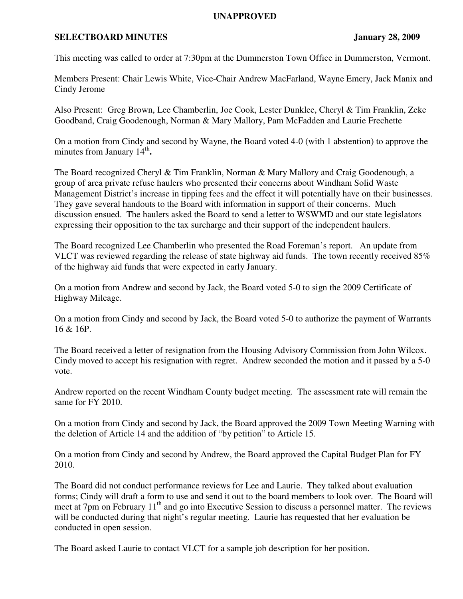## **UNAPPROVED**

## **SELECTBOARD MINUTES** January 28, 2009

This meeting was called to order at 7:30pm at the Dummerston Town Office in Dummerston, Vermont.

Members Present: Chair Lewis White, Vice-Chair Andrew MacFarland, Wayne Emery, Jack Manix and Cindy Jerome

Also Present: Greg Brown, Lee Chamberlin, Joe Cook, Lester Dunklee, Cheryl & Tim Franklin, Zeke Goodband, Craig Goodenough, Norman & Mary Mallory, Pam McFadden and Laurie Frechette

On a motion from Cindy and second by Wayne, the Board voted 4-0 (with 1 abstention) to approve the minutes from January 14<sup>th</sup>.

The Board recognized Cheryl & Tim Franklin, Norman & Mary Mallory and Craig Goodenough, a group of area private refuse haulers who presented their concerns about Windham Solid Waste Management District's increase in tipping fees and the effect it will potentially have on their businesses. They gave several handouts to the Board with information in support of their concerns. Much discussion ensued. The haulers asked the Board to send a letter to WSWMD and our state legislators expressing their opposition to the tax surcharge and their support of the independent haulers.

The Board recognized Lee Chamberlin who presented the Road Foreman's report. An update from VLCT was reviewed regarding the release of state highway aid funds. The town recently received 85% of the highway aid funds that were expected in early January.

On a motion from Andrew and second by Jack, the Board voted 5-0 to sign the 2009 Certificate of Highway Mileage.

On a motion from Cindy and second by Jack, the Board voted 5-0 to authorize the payment of Warrants 16 & 16P.

The Board received a letter of resignation from the Housing Advisory Commission from John Wilcox. Cindy moved to accept his resignation with regret. Andrew seconded the motion and it passed by a 5-0 vote.

Andrew reported on the recent Windham County budget meeting. The assessment rate will remain the same for FY 2010.

On a motion from Cindy and second by Jack, the Board approved the 2009 Town Meeting Warning with the deletion of Article 14 and the addition of "by petition" to Article 15.

On a motion from Cindy and second by Andrew, the Board approved the Capital Budget Plan for FY 2010.

The Board did not conduct performance reviews for Lee and Laurie. They talked about evaluation forms; Cindy will draft a form to use and send it out to the board members to look over. The Board will meet at 7pm on February 11<sup>th</sup> and go into Executive Session to discuss a personnel matter. The reviews will be conducted during that night's regular meeting. Laurie has requested that her evaluation be conducted in open session.

The Board asked Laurie to contact VLCT for a sample job description for her position.